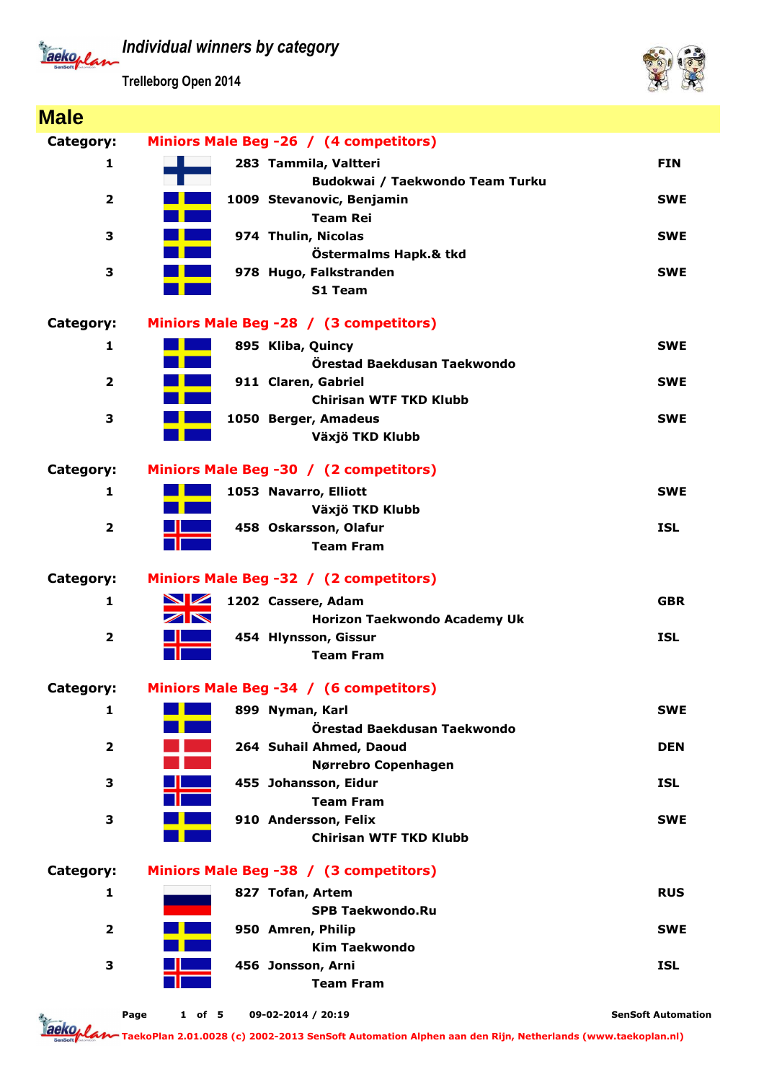*Individual winners by category*

Jackoplan

**Trelleborg Open 2014**



| <b>Male</b>             |                                                          |                           |
|-------------------------|----------------------------------------------------------|---------------------------|
| Category:               | Miniors Male Beg -26 / (4 competitors)                   |                           |
| 1                       | 283 Tammila, Valtteri                                    | <b>FIN</b>                |
|                         | Budokwai / Taekwondo Team Turku                          |                           |
| $\mathbf{2}$            | 1009 Stevanovic, Benjamin                                | <b>SWE</b>                |
|                         | <b>Team Rei</b>                                          |                           |
| 3                       | 974 Thulin, Nicolas                                      | <b>SWE</b>                |
|                         | Östermalms Hapk.& tkd                                    |                           |
| 3                       | 978 Hugo, Falkstranden                                   | <b>SWE</b>                |
|                         | S1 Team                                                  |                           |
| Category:               | Miniors Male Beg -28 / (3 competitors)                   |                           |
| 1                       | 895 Kliba, Quincy                                        | <b>SWE</b>                |
|                         | Örestad Baekdusan Taekwondo                              |                           |
| $\mathbf{2}$            | 911 Claren, Gabriel                                      | <b>SWE</b>                |
|                         | <b>Chirisan WTF TKD Klubb</b>                            |                           |
| 3                       | 1050 Berger, Amadeus                                     | <b>SWE</b>                |
|                         | Växjö TKD Klubb                                          |                           |
| Category:               | Miniors Male Beg -30 / (2 competitors)                   |                           |
| 1                       | 1053 Navarro, Elliott                                    | <b>SWE</b>                |
|                         | Växjö TKD Klubb                                          |                           |
| $\overline{\mathbf{2}}$ | 458 Oskarsson, Olafur                                    | <b>ISL</b>                |
|                         | <b>Team Fram</b>                                         |                           |
|                         |                                                          |                           |
| Category:               | Miniors Male Beg -32 / (2 competitors)                   |                           |
| 1                       | <b>NZ</b><br>1202 Cassere, Adam<br>$\blacktriangleright$ | <b>GBR</b>                |
|                         | Horizon Taekwondo Academy Uk                             |                           |
| $\overline{\mathbf{2}}$ | 454 Hlynsson, Gissur<br><b>Team Fram</b>                 | <b>ISL</b>                |
|                         |                                                          |                           |
| Category:               | Miniors Male Beg -34 / (6 competitors)                   |                           |
| 1                       | 899 Nyman, Karl                                          | <b>SWE</b>                |
|                         | Örestad Baekdusan Taekwondo                              |                           |
| $\mathbf{2}$            | 264 Suhail Ahmed, Daoud                                  | <b>DEN</b>                |
|                         | Nørrebro Copenhagen                                      |                           |
| 3                       | 455 Johansson, Eidur                                     | <b>ISL</b>                |
|                         | <b>Team Fram</b>                                         |                           |
| 3                       | 910 Andersson, Felix<br><b>Chirisan WTF TKD Klubb</b>    | <b>SWE</b>                |
|                         |                                                          |                           |
| Category:               | Miniors Male Beg -38 / (3 competitors)                   |                           |
| 1                       | 827 Tofan, Artem                                         | <b>RUS</b>                |
|                         | <b>SPB Taekwondo.Ru</b>                                  |                           |
| $\mathbf{2}$            | 950 Amren, Philip                                        | <b>SWE</b>                |
|                         | <b>Kim Taekwondo</b>                                     |                           |
| 3                       | 456 Jonsson, Arni                                        | <b>ISL</b>                |
|                         | <b>Team Fram</b>                                         |                           |
|                         | 09-02-2014 / 20:19<br>Page<br>$1$ of 5                   | <b>SenSoft Automation</b> |

**TaekoPlan 2.01.0028 (c) 2002-2013 SenSoft Automation Alphen aan den Rijn, Netherlands (www.taekoplan.nl)**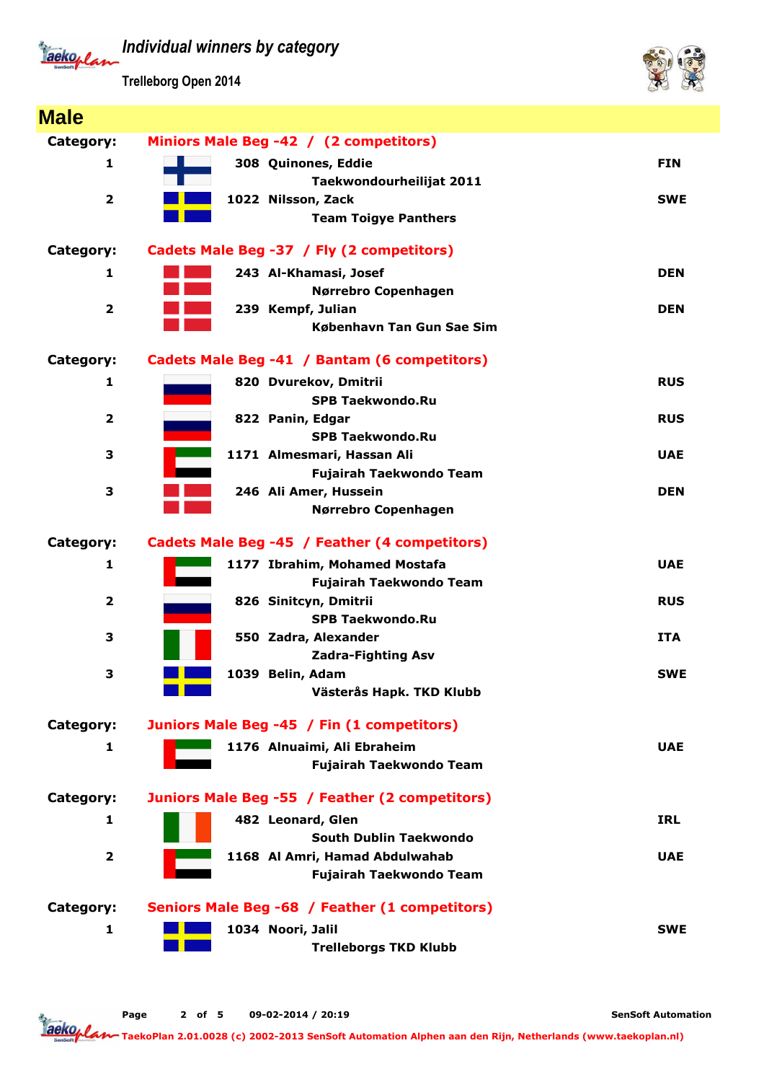*Individual winners by category* Tackoplan

**Trelleborg Open 2014**

**Male**



| <b>Male</b>             |                                                |            |
|-------------------------|------------------------------------------------|------------|
| Category:               | Miniors Male Beg -42 / (2 competitors)         |            |
| 1                       | 308 Quinones, Eddie                            | <b>FIN</b> |
|                         | Taekwondourheilijat 2011                       |            |
| $\overline{\mathbf{2}}$ | 1022 Nilsson, Zack                             | <b>SWE</b> |
|                         | <b>Team Toigye Panthers</b>                    |            |
| Category:               | Cadets Male Beg -37 / Fly (2 competitors)      |            |
| 1                       | 243 Al-Khamasi, Josef                          | <b>DEN</b> |
|                         | Nørrebro Copenhagen                            |            |
| $\overline{\mathbf{2}}$ | 239 Kempf, Julian                              | <b>DEN</b> |
|                         | København Tan Gun Sae Sim                      |            |
| Category:               | Cadets Male Beg -41 / Bantam (6 competitors)   |            |
| 1                       | 820 Dvurekov, Dmitrii                          | <b>RUS</b> |
|                         | <b>SPB Taekwondo.Ru</b>                        |            |
| $\mathbf{2}$            | 822 Panin, Edgar                               | <b>RUS</b> |
|                         | <b>SPB Taekwondo.Ru</b>                        |            |
| 3                       | 1171 Almesmari, Hassan Ali                     | <b>UAE</b> |
| 3                       | <b>Fujairah Taekwondo Team</b>                 |            |
|                         | 246 Ali Amer, Hussein                          | <b>DEN</b> |
|                         | Nørrebro Copenhagen                            |            |
| Category:               | Cadets Male Beg -45 / Feather (4 competitors)  |            |
| 1                       | 1177 Ibrahim, Mohamed Mostafa                  | <b>UAE</b> |
|                         | Fujairah Taekwondo Team                        |            |
| $\overline{\mathbf{2}}$ | 826 Sinitcyn, Dmitrii                          | <b>RUS</b> |
|                         | <b>SPB Taekwondo.Ru</b>                        |            |
| 3                       | 550 Zadra, Alexander                           | <b>ITA</b> |
|                         | <b>Zadra-Fighting Asv</b>                      |            |
| 3                       | 1039 Belin, Adam                               | <b>SWE</b> |
|                         | Västerås Hapk. TKD Klubb                       |            |
| Category:               | Juniors Male Beg -45 / Fin (1 competitors)     |            |
| 1                       | 1176 Alnuaimi, Ali Ebraheim                    | <b>UAE</b> |
|                         | <b>Fujairah Taekwondo Team</b>                 |            |
| Category:               | Juniors Male Beg -55 / Feather (2 competitors) |            |
| 1                       | 482 Leonard, Glen                              | <b>IRL</b> |
|                         | South Dublin Taekwondo                         |            |
| $\mathbf{2}$            | 1168 Al Amri, Hamad Abdulwahab                 | <b>UAE</b> |
|                         | <b>Fujairah Taekwondo Team</b>                 |            |
| Category:               | Seniors Male Beg -68 / Feather (1 competitors) |            |
| 1                       | 1034 Noori, Jalil                              | <b>SWE</b> |
|                         | <b>Trelleborgs TKD Klubb</b>                   |            |

**SenSoft Automation**

Tackoplan **TaekoPlan 2.01.0028 (c) 2002-2013 SenSoft Automation Alphen aan den Rijn, Netherlands (www.taekoplan.nl)**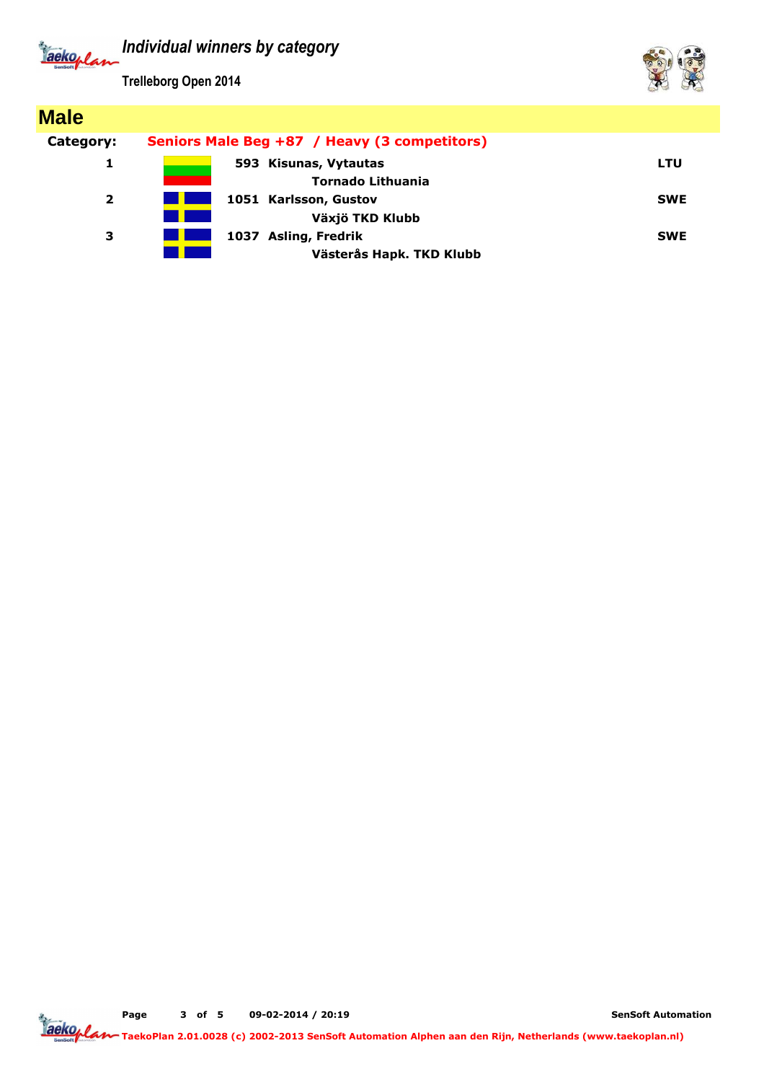*Individual winners by category* aeko<sub>lla</sub>

**Trelleborg Open 2014**



**SenSoft Automation**

**TaekoPlan 2.01.0028 (c) 2002-2013 SenSoft Automation Alphen aan den Rijn, Netherlands (www.taekoplan.nl)**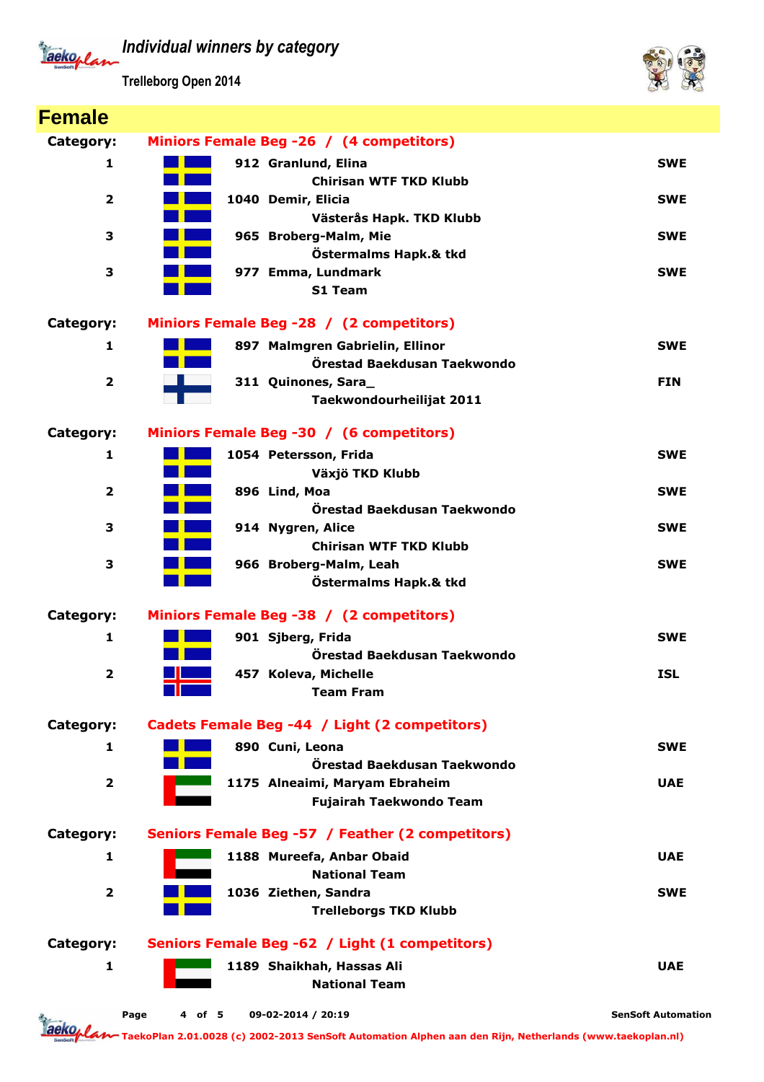*Individual winners by category*

Jackoplan

**Trelleborg Open 2014**



| <b>Female</b>           |                                                           |                           |
|-------------------------|-----------------------------------------------------------|---------------------------|
| Category:               | Miniors Female Beg -26 / (4 competitors)                  |                           |
| 1                       | 912 Granlund, Elina                                       | <b>SWE</b>                |
|                         | <b>Chirisan WTF TKD Klubb</b>                             |                           |
| $\overline{\mathbf{2}}$ | 1040 Demir, Elicia                                        | <b>SWE</b>                |
| 3                       | Västerås Hapk. TKD Klubb<br>965 Broberg-Malm, Mie         | <b>SWE</b>                |
|                         | Östermalms Hapk.& tkd                                     |                           |
| 3                       | 977 Emma, Lundmark                                        | <b>SWE</b>                |
|                         | S1 Team                                                   |                           |
| Category:               | Miniors Female Beg -28 / (2 competitors)                  |                           |
| $\mathbf{1}$            | 897 Malmgren Gabrielin, Ellinor                           | <b>SWE</b>                |
|                         | Örestad Baekdusan Taekwondo                               |                           |
| $\overline{\mathbf{2}}$ | 311 Quinones, Sara_                                       | <b>FIN</b>                |
|                         | Taekwondourheilijat 2011                                  |                           |
| Category:               | Miniors Female Beg -30 / (6 competitors)                  |                           |
| $\mathbf{1}$            | 1054 Petersson, Frida                                     | <b>SWE</b>                |
|                         | Växjö TKD Klubb                                           |                           |
| $\overline{\mathbf{2}}$ | 896 Lind, Moa                                             | <b>SWE</b>                |
|                         | Örestad Baekdusan Taekwondo                               |                           |
| 3                       | 914 Nygren, Alice<br><b>Chirisan WTF TKD Klubb</b>        | <b>SWE</b>                |
| 3                       | 966 Broberg-Malm, Leah                                    | <b>SWE</b>                |
|                         | Östermalms Hapk.& tkd                                     |                           |
|                         |                                                           |                           |
| Category:               | Miniors Female Beg -38 / (2 competitors)                  |                           |
| 1                       | 901 Sjberg, Frida                                         | <b>SWE</b>                |
| $\overline{2}$          | Örestad Baekdusan Taekwondo<br>457 Koleva, Michelle       | <b>ISL</b>                |
|                         | <b>Team Fram</b>                                          |                           |
|                         |                                                           |                           |
| Category:               | Cadets Female Beg -44 / Light (2 competitors)             |                           |
| 1                       | 890 Cuni, Leona                                           | <b>SWE</b>                |
|                         | Örestad Baekdusan Taekwondo                               |                           |
| $\mathbf{2}$            | 1175 Alneaimi, Maryam Ebraheim<br>Fujairah Taekwondo Team | <b>UAE</b>                |
|                         |                                                           |                           |
| Category:               | Seniors Female Beg -57 / Feather (2 competitors)          |                           |
| 1                       | 1188 Mureefa, Anbar Obaid                                 | <b>UAE</b>                |
|                         | <b>National Team</b>                                      |                           |
| $\mathbf{2}$            | 1036 Ziethen, Sandra                                      | <b>SWE</b>                |
|                         | <b>Trelleborgs TKD Klubb</b>                              |                           |
| Category:               | Seniors Female Beg -62 / Light (1 competitors)            |                           |
| 1                       | 1189 Shaikhah, Hassas Ali                                 | <b>UAE</b>                |
|                         | <b>National Team</b>                                      |                           |
|                         | Page<br>4 of 5<br>09-02-2014 / 20:19                      | <b>SenSoft Automation</b> |

**TaekoPlan 2.01.0028 (c) 2002-2013 SenSoft Automation Alphen aan den Rijn, Netherlands (www.taekoplan.nl)**